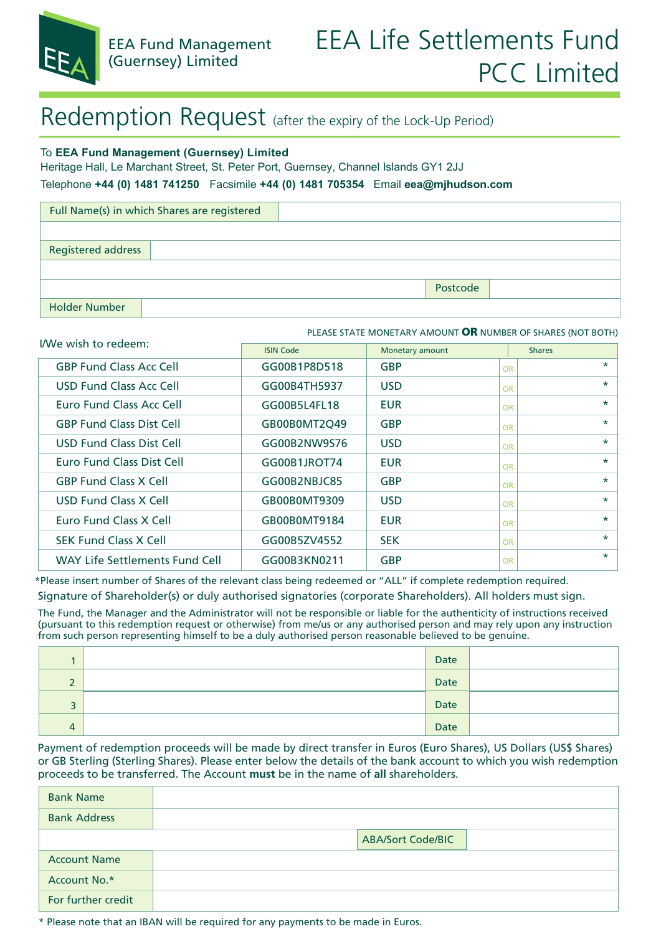

## Redemption Request (after the expiry of the Lock-Up Period)

#### To **EEA Fund Management (Guernsey) Limited**

Heritage Hall, Le Marchant Street, St. Peter Port, Guernsey, Channel Islands GY1 2JJ

Telephone **+44 (0) 1481 741250** Facsimile **+44 (0) 1481 705354** Email **eea@mjhudson.com**

| Full Name(s) in which Shares are registered |          |  |  |  |
|---------------------------------------------|----------|--|--|--|
|                                             |          |  |  |  |
| <b>Registered address</b>                   |          |  |  |  |
|                                             |          |  |  |  |
|                                             | Postcode |  |  |  |
| <b>Holder Number</b>                        |          |  |  |  |

#### PLEASE STATE MONETARY AMOUNT **OR** NUMBER OF SHARES (NOT BOTH)

| I/We wish to redeem:                  | <b>ISIN Code</b> | Monetary amount | <b>Shares</b>        |
|---------------------------------------|------------------|-----------------|----------------------|
| <b>GBP Fund Class Acc Cell</b>        | GG00B1P8D518     | <b>GBP</b>      | $\star$<br>OR        |
| USD Fund Class Acc Cell               | GG00B4TH5937     | <b>USD</b>      | $\star$<br>OR        |
| Euro Fund Class Acc Cell              | GG00B5L4FL18     | <b>EUR</b>      | $\star$<br>OR        |
| <b>GBP Fund Class Dist Cell</b>       | GB00B0MT2Q49     | <b>GBP</b>      | $\star$<br>OR        |
| USD Fund Class Dist Cell              | GG00B2NW9S76     | <b>USD</b>      | $\star$<br>OR        |
| Euro Fund Class Dist Cell             | GG00B1JROT74     | <b>EUR</b>      | $\star$<br><b>OR</b> |
| <b>GBP Fund Class X Cell</b>          | GG00B2NBJC85     | <b>GBP</b>      | $\star$<br><b>OR</b> |
| USD Fund Class X Cell                 | GB00B0MT9309     | <b>USD</b>      | $\star$<br>OR        |
| Euro Fund Class X Cell                | GB00B0MT9184     | <b>EUR</b>      | $\star$<br>OR        |
| <b>SEK Fund Class X Cell</b>          | GG00B5ZV4552     | <b>SEK</b>      | $\star$<br>OR        |
| <b>WAY Life Settlements Fund Cell</b> | GG00B3KN0211     | <b>GBP</b>      | $\star$<br>OR        |

Signature of Shareholder(s) or duly authorised signatories (corporate Shareholders). All holders must sign. \*Please insert number of Shares of the relevant class being redeemed or "ALL" if complete redemption required.

The Fund, the Manager and the Administrator will not be responsible or liable for the authenticity of instructions received (pursuant to this redemption request or otherwise) from me/us or any authorised person and may rely upon any instruction from such person representing himself to be a duly authorised person reasonable believed to be genuine.

|                          | Date |  |
|--------------------------|------|--|
| $\overline{\phantom{0}}$ | Date |  |
| э<br>د                   | Date |  |
| 4                        | Date |  |

Payment of redemption proceeds will be made by direct transfer in Euros (Euro Shares), US Dollars (US\$ Shares) or GB Sterling (Sterling Shares). Please enter below the details of the bank account to which you wish redemption proceeds to be transferred. The Account **must** be in the name of **all** shareholders.

| <b>Bank Name</b>    |                          |
|---------------------|--------------------------|
| <b>Bank Address</b> |                          |
|                     | <b>ABA/Sort Code/BIC</b> |
| <b>Account Name</b> |                          |
| Account No.*        |                          |
| For further credit  |                          |

\* Please note that an IBAN will be required for any payments to be made in Euros.